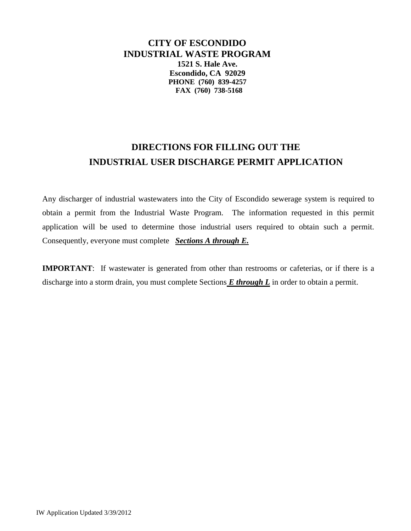**CITY OF ESCONDIDO INDUSTRIAL WASTE PROGRAM 1521 S. Hale Ave. Escondido, CA 92029 PHONE (760) 839-4257 FAX (760) 738-5168**

# **DIRECTIONS FOR FILLING OUT THE INDUSTRIAL USER DISCHARGE PERMIT APPLICATION**

Any discharger of industrial wastewaters into the City of Escondido sewerage system is required to obtain a permit from the Industrial Waste Program. The information requested in this permit application will be used to determine those industrial users required to obtain such a permit. Consequently, everyone must complete *Sections A through E.*

**IMPORTANT**: If wastewater is generated from other than restrooms or cafeterias, or if there is a discharge into a storm drain, you must complete Sections *E through L* in order to obtain a permit.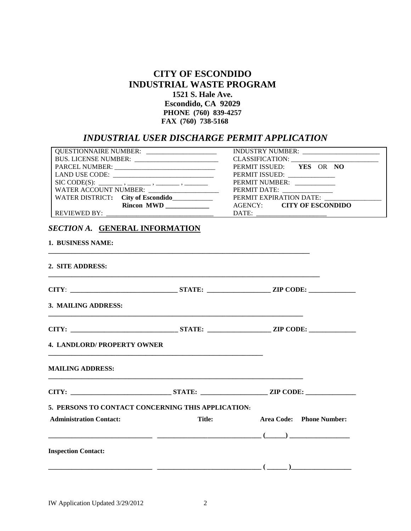# **CITY OF ESCONDIDO INDUSTRIAL WASTE PROGRAM 1521 S. Hale Ave. Escondido, CA 92029 PHONE (760) 839-4257 FAX (760) 738-5168**

# *INDUSTRIAL USER DISCHARGE PERMIT APPLICATION*

|                                                     |               | PERMIT ISSUED: YES OR NO                                 |
|-----------------------------------------------------|---------------|----------------------------------------------------------|
|                                                     |               |                                                          |
|                                                     |               | PERMIT NUMBER: ____________                              |
|                                                     |               | PERMIT DATE: ________________<br>PERMIT EXPIRATION DATE: |
| WATER DISTRICT: City of Escondido                   |               | AGENCY: CITY OF ESCONDIDO                                |
|                                                     |               |                                                          |
| SECTION A. GENERAL INFORMATION<br>1. BUSINESS NAME: |               |                                                          |
| 2. SITE ADDRESS:                                    |               |                                                          |
|                                                     |               |                                                          |
| 3. MAILING ADDRESS:                                 |               |                                                          |
|                                                     |               | CITY: STATE: ZIP CODE:                                   |
| <b>4. LANDLORD/ PROPERTY OWNER</b>                  |               |                                                          |
| <b>MAILING ADDRESS:</b>                             |               |                                                          |
|                                                     |               |                                                          |
| 5. PERSONS TO CONTACT CONCERNING THIS APPLICATION:  |               |                                                          |
| <b>Administration Contact:</b>                      | <b>Title:</b> | Area Code: Phone Number:                                 |
|                                                     |               |                                                          |
| <b>Inspection Contact:</b>                          |               |                                                          |
|                                                     |               |                                                          |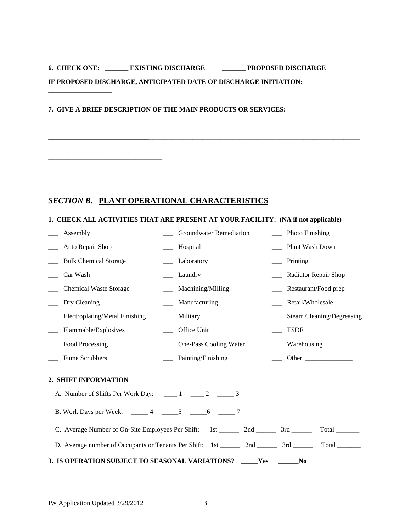# **6. CHECK ONE: \_\_\_\_\_\_\_ EXISTING DISCHARGE \_\_\_\_\_\_\_ PROPOSED DISCHARGE IF PROPOSED DISCHARGE, ANTICIPATED DATE OF DISCHARGE INITIATION:**

**\_\_\_\_\_\_\_\_\_\_\_\_\_\_\_\_\_\_\_\_\_\_\_\_\_\_\_\_\_\_\_\_\_\_\_\_\_\_\_\_\_\_\_\_\_\_\_\_\_\_\_\_\_\_\_\_\_\_\_\_\_\_\_\_\_\_\_\_\_\_\_\_\_\_\_\_\_\_\_\_\_\_\_\_\_\_\_\_\_\_\_\_\_**

**\_\_\_\_\_\_\_\_\_\_\_\_\_\_\_\_\_\_\_\_\_\_\_\_\_\_\_\_\_\_**\_\_\_\_\_\_\_\_\_\_\_\_\_\_\_\_\_\_\_\_\_\_\_\_\_\_\_\_\_\_\_\_\_\_\_\_\_\_\_\_\_\_\_\_\_\_\_\_\_\_\_\_\_\_\_\_\_\_\_\_\_\_\_

## **7. GIVE A BRIEF DESCRIPTION OF THE MAIN PRODUCTS OR SERVICES:**

**\_\_\_\_\_\_\_\_\_\_\_\_\_\_\_\_\_\_\_**

\_\_\_\_\_\_\_\_\_\_\_\_\_\_\_\_\_\_\_\_\_\_\_\_\_\_\_\_\_\_\_\_\_\_

## *SECTION B.* **PLANT OPERATIONAL CHARACTERISTICS**

## **1. CHECK ALL ACTIVITIES THAT ARE PRESENT AT YOUR FACILITY: (NA if not applicable)**

| Assembly                                                                            | Groundwater Remediation                                                                     | Photo Finishing                  |
|-------------------------------------------------------------------------------------|---------------------------------------------------------------------------------------------|----------------------------------|
| Auto Repair Shop                                                                    | Hospital                                                                                    | Plant Wash Down                  |
| <b>Bulk Chemical Storage</b>                                                        | Laboratory                                                                                  | Printing                         |
| Car Wash                                                                            | Laundry                                                                                     | Radiator Repair Shop             |
| <b>Chemical Waste Storage</b>                                                       | Machining/Milling                                                                           | Restaurant/Food prep             |
| Dry Cleaning                                                                        | Manufacturing                                                                               | Retail/Wholesale                 |
| Electroplating/Metal Finishing                                                      | Military                                                                                    | <b>Steam Cleaning/Degreasing</b> |
| Flammable/Explosives                                                                | Office Unit                                                                                 | <b>TSDF</b>                      |
| ____ Food Processing                                                                | One-Pass Cooling Water                                                                      | Warehousing                      |
| Fume Scrubbers                                                                      | Painting/Finishing                                                                          | Other                            |
| 2. SHIFT INFORMATION                                                                |                                                                                             |                                  |
| A. Number of Shifts Per Work Day: $\qquad \qquad 1 \qquad \qquad 2 \qquad \qquad 3$ |                                                                                             |                                  |
| B. Work Days per Week: ______ 4 ______ 5 _____ 6 ______ 7                           |                                                                                             |                                  |
|                                                                                     | C. Average Number of On-Site Employees Per Shift: 1st _________ 2nd __________ 3rd _______  |                                  |
|                                                                                     | D. Average number of Occupants or Tenants Per Shift: 1st ________ 2nd _________ 3rd _______ | Total                            |
| 3. IS OPERATION SUBJECT TO SEASONAL VARIATIONS? _____ Yes                           |                                                                                             | $N_{0}$                          |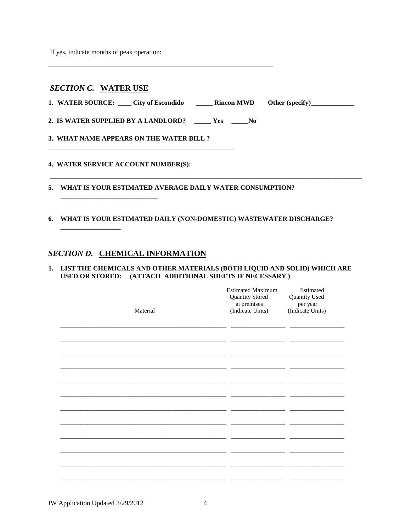If yes, indicate months of peak operation:

## **SECTION C. WATER USE**

1. WATER SOURCE: \_\_\_\_ City of Escondido \_\_\_\_\_\_ Rincon MWD Other (specify)\_\_\_\_\_\_\_\_

2. IS WATER SUPPLIED BY A LANDLORD? \_\_\_\_\_ Yes \_\_\_\_\_No

3. WHAT NAME APPEARS ON THE WATER BILL ?

## 4. WATER SERVICE ACCOUNT NUMBER(S):

5. WHAT IS YOUR ESTIMATED AVERAGE DAILY WATER CONSUMPTION?

## 6. WHAT IS YOUR ESTIMATED DAILY (NON-DOMESTIC) WASTEWATER DISCHARGE?

## SECTION D. CHEMICAL INFORMATION

#### 1. LIST THE CHEMICALS AND OTHER MATERIALS (BOTH LIQUID AND SOLID) WHICH ARE USED OR STORED: (ATTACH ADDITIONAL SHEETS IF NECESSARY)

| Material | <b>Estimated Maximum</b><br>Quantity Stored<br>at premises<br>(Indicate Units) | Estimated<br>Quantity Used<br>per year<br>(Indicate Units) |
|----------|--------------------------------------------------------------------------------|------------------------------------------------------------|
|          |                                                                                |                                                            |
|          |                                                                                |                                                            |
|          |                                                                                |                                                            |
|          |                                                                                |                                                            |
|          |                                                                                |                                                            |
|          |                                                                                |                                                            |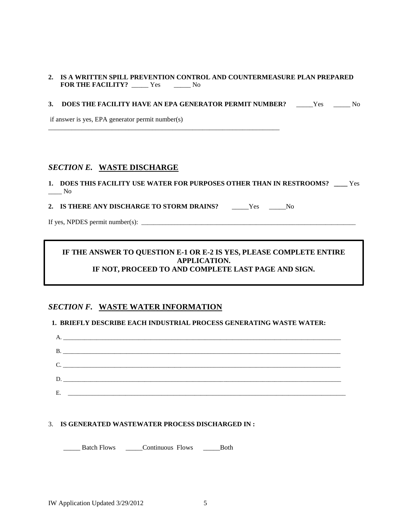## **2. IS A WRITTEN SPILL PREVENTION CONTROL AND COUNTERMEASURE PLAN PREPARED FOR THE FACILITY?** \_\_\_\_\_ Yes \_\_\_\_\_ No

## **3. DOES THE FACILITY HAVE AN EPA GENERATOR PERMIT NUMBER?** Yes No

if answer is yes, EPA generator permit number(s)

## *SECTION E.* **WASTE DISCHARGE**

**1. DOES THIS FACILITY USE WATER FOR PURPOSES OTHER THAN IN RESTROOMS? \_\_\_\_** Yes  $\_\_$  No

**2. IS THERE ANY DISCHARGE TO STORM DRAINS?** \_\_\_\_\_Yes \_\_\_\_\_No

\_\_\_\_\_\_\_\_\_\_\_\_\_\_\_\_\_\_\_\_\_\_\_\_\_\_\_\_\_\_\_\_\_\_\_\_\_\_\_\_\_\_\_\_\_\_\_\_\_\_\_\_\_\_\_\_\_\_\_\_\_\_\_\_\_\_\_\_\_

If yes, NPDES permit number(s):  $\frac{1}{\frac{1}{2} \cdot \frac{1}{2} \cdot \frac{1}{2} \cdot \frac{1}{2} \cdot \frac{1}{2} \cdot \frac{1}{2} \cdot \frac{1}{2} \cdot \frac{1}{2} \cdot \frac{1}{2} \cdot \frac{1}{2} \cdot \frac{1}{2} \cdot \frac{1}{2} \cdot \frac{1}{2} \cdot \frac{1}{2} \cdot \frac{1}{2} \cdot \frac{1}{2} \cdot \frac{1}{2} \cdot \frac{1}{2} \cdot \frac{1}{2} \cdot \frac{1}{2} \cdot \frac{$ 

## **IF THE ANSWER TO QUESTION E-1 OR E-2 IS YES, PLEASE COMPLETE ENTIRE APPLICATION. IF NOT, PROCEED TO AND COMPLETE LAST PAGE AND SIGN.**

## *SECTION F.* **WASTE WATER INFORMATION**

## **1. BRIEFLY DESCRIBE EACH INDUSTRIAL PROCESS GENERATING WASTE WATER:**



## 3. **IS GENERATED WASTEWATER PROCESS DISCHARGED IN :**

\_\_\_\_\_ Batch Flows \_\_\_\_\_Continuous Flows \_\_\_\_\_Both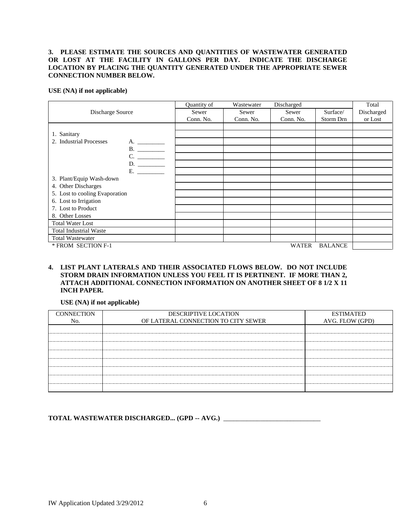## **3. PLEASE ESTIMATE THE SOURCES AND QUANTITIES OF WASTEWATER GENERATED OR LOST AT THE FACILITY IN GALLONS PER DAY. INDICATE THE DISCHARGE LOCATION BY PLACING THE QUANTITY GENERATED UNDER THE APPROPRIATE SEWER CONNECTION NUMBER BELOW.**

**USE (NA) if not applicable)**

|                                | Quantity of | Wastewater | Discharged |                | Total      |
|--------------------------------|-------------|------------|------------|----------------|------------|
| Discharge Source               | Sewer       | Sewer      | Sewer      | Surface/       | Discharged |
|                                | Conn. No.   | Conn. No.  | Conn. No.  | Storm Drn      | or Lost    |
|                                |             |            |            |                |            |
| 1. Sanitary                    |             |            |            |                |            |
| 2. Industrial Processes<br>A.  |             |            |            |                |            |
| B.                             |             |            |            |                |            |
| C.                             |             |            |            |                |            |
| D.                             |             |            |            |                |            |
| E.                             |             |            |            |                |            |
| 3. Plant/Equip Wash-down       |             |            |            |                |            |
| 4. Other Discharges            |             |            |            |                |            |
| 5. Lost to cooling Evaporation |             |            |            |                |            |
| 6. Lost to Irrigation          |             |            |            |                |            |
| 7. Lost to Product             |             |            |            |                |            |
| 8. Other Losses                |             |            |            |                |            |
| <b>Total Water Lost</b>        |             |            |            |                |            |
| <b>Total Industrial Waste</b>  |             |            |            |                |            |
| <b>Total Wastewater</b>        |             |            |            |                |            |
| * FROM SECTION F-1             |             |            | WATER      | <b>BALANCE</b> |            |

## **4. LIST PLANT LATERALS AND THEIR ASSOCIATED FLOWS BELOW. DO NOT INCLUDE STORM DRAIN INFORMATION UNLESS YOU FEEL IT IS PERTINENT. IF MORE THAN 2, ATTACH ADDITIONAL CONNECTION INFORMATION ON ANOTHER SHEET OF 8 1/2 X 11 INCH PAPER.**

## **USE (NA) if not applicable)**

| <b>CONNECTION</b> | DESCRIPTIVE LOCATION                | <b>ESTIMATED</b> |
|-------------------|-------------------------------------|------------------|
| No.               | OF LATERAL CONNECTION TO CITY SEWER | AVG. FLOW (GPD)  |
|                   |                                     |                  |
|                   |                                     |                  |
|                   |                                     |                  |
|                   |                                     |                  |
|                   |                                     |                  |
|                   |                                     |                  |
|                   |                                     |                  |
|                   |                                     |                  |

## **TOTAL WASTEWATER DISCHARGED... (GPD -- AVG.)** \_\_\_\_\_\_\_\_\_\_\_\_\_\_\_\_\_\_\_\_\_\_\_\_\_\_\_\_\_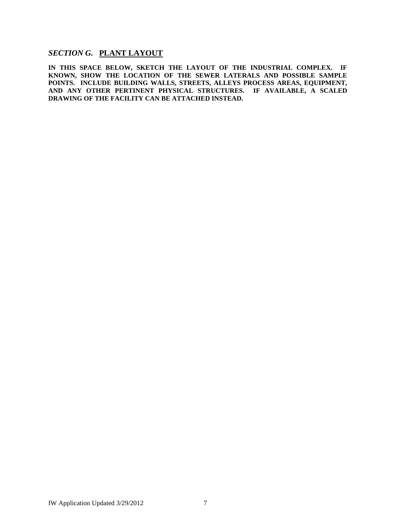# *SECTION G.* **PLANT LAYOUT**

**IN THIS SPACE BELOW, SKETCH THE LAYOUT OF THE INDUSTRIAL COMPLEX. IF KNOWN, SHOW THE LOCATION OF THE SEWER LATERALS AND POSSIBLE SAMPLE POINTS. INCLUDE BUILDING WALLS, STREETS, ALLEYS PROCESS AREAS, EQUIPMENT, AND ANY OTHER PERTINENT PHYSICAL STRUCTURES. IF AVAILABLE, A SCALED DRAWING OF THE FACILITY CAN BE ATTACHED INSTEAD.**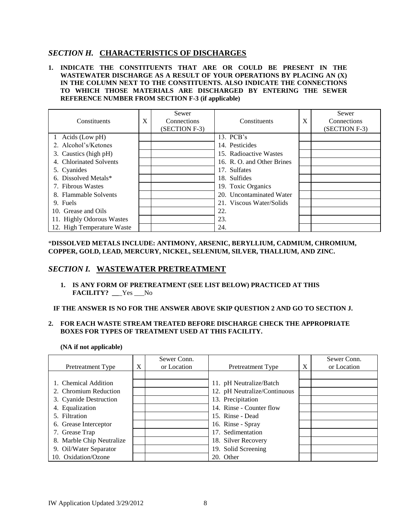## *SECTION H.* **CHARACTERISTICS OF DISCHARGES**

## **1. INDICATE THE CONSTITUENTS THAT ARE OR COULD BE PRESENT IN THE WASTEWATER DISCHARGE AS A RESULT OF YOUR OPERATIONS BY PLACING AN (X) IN THE COLUMN NEXT TO THE CONSTITUENTS. ALSO INDICATE THE CONNECTIONS TO WHICH THOSE MATERIALS ARE DISCHARGED BY ENTERING THE SEWER REFERENCE NUMBER FROM SECTION F-3 (if applicable)**

| Constituents               | X | Sewer<br>Connections<br>(SECTION F-3) | Constituents               | X | Sewer<br>Connections<br>(SECTION F-3) |
|----------------------------|---|---------------------------------------|----------------------------|---|---------------------------------------|
| 1 Acids (Low pH)           |   |                                       | 13. PCB's                  |   |                                       |
| 2. Alcohol's/Ketones       |   |                                       | 14. Pesticides             |   |                                       |
| 3. Caustics (high pH)      |   |                                       | 15. Radioactive Wastes     |   |                                       |
| 4. Chlorinated Solvents    |   |                                       | 16. R. O. and Other Brines |   |                                       |
| 5. Cyanides                |   |                                       | 17. Sulfates               |   |                                       |
| 6. Dissolved Metals*       |   |                                       | 18. Sulfides               |   |                                       |
| 7. Fibrous Wastes          |   |                                       | 19. Toxic Organics         |   |                                       |
| 8. Flammable Solvents      |   |                                       | 20. Uncontaminated Water   |   |                                       |
| 9. Fuels                   |   |                                       | 21. Viscous Water/Solids   |   |                                       |
| 10. Grease and Oils        |   |                                       | 22.                        |   |                                       |
| 11. Highly Odorous Wastes  |   |                                       | 23.                        |   |                                       |
| 12. High Temperature Waste |   |                                       | 24.                        |   |                                       |

\***DISSOLVED METALS INCLUDE: ANTIMONY, ARSENIC, BERYLLIUM, CADMIUM, CHROMIUM, COPPER, GOLD, LEAD, MERCURY, NICKEL, SELENIUM, SILVER, THALLIUM, AND ZINC.**

## *SECTION I.* **WASTEWATER PRETREATMENT**

## **1. IS ANY FORM OF PRETREATMENT (SEE LIST BELOW) PRACTICED AT THIS FACILITY? \_\_**\_Yes \_\_\_No

#### **IF THE ANSWER IS NO FOR THE ANSWER ABOVE SKIP QUESTION 2 AND GO TO SECTION J.**

#### **2. FOR EACH WASTE STREAM TREATED BEFORE DISCHARGE CHECK THE APPROPRIATE BOXES FOR TYPES OF TREATMENT USED AT THIS FACILITY.**

**(NA if not applicable)**

|                           |   | Sewer Conn. |                              |   | Sewer Conn. |
|---------------------------|---|-------------|------------------------------|---|-------------|
| Pretreatment Type         | X | or Location | <b>Pretreatment Type</b>     | X | or Location |
|                           |   |             |                              |   |             |
| 1. Chemical Addition      |   |             | 11. pH Neutralize/Batch      |   |             |
| 2. Chromium Reduction     |   |             | 12. pH Neutralize/Continuous |   |             |
| 3. Cyanide Destruction    |   |             | 13. Precipitation            |   |             |
| 4. Equalization           |   |             | 14. Rinse - Counter flow     |   |             |
| 5. Filtration             |   |             | 15. Rinse - Dead             |   |             |
| 6. Grease Interceptor     |   |             | 16. Rinse - Spray            |   |             |
| 7. Grease Trap            |   |             | 17. Sedimentation            |   |             |
| 8. Marble Chip Neutralize |   |             | 18. Silver Recovery          |   |             |
| 9. Oil/Water Separator    |   |             | 19. Solid Screening          |   |             |
| 10. Oxidation/Ozone       |   |             | 20. Other                    |   |             |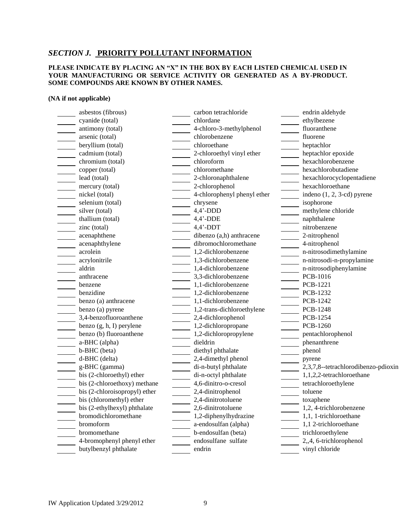## *SECTION J.* **PRIORITY POLLUTANT INFORMATION**

#### **PLEASE INDICATE BY PLACING AN "X" IN THE BOX BY EACH LISTED CHEMICAL USED IN YOUR MANUFACTURING OR SERVICE ACTIVITY OR GENERATED AS A BY-PRODUCT. SOME COMPOUNDS ARE KNOWN BY OTHER NAMES.**

#### **(NA if not applicable)**

asbestos (fibrous) carbon tetrachloride endrin aldehyde cyanide (total) chlordane ethylbezene ethylbezene antimony (total) 4-chloro-3-methylphenol fluoranthene arsenic (total) chlorobenzene fluorene beryllium (total) chloroethane heptachlor cadmium (total) 2-chloroethyl vinyl ether heptachlor epoxide chromium (total) chloroform hexachlorobenzene copper (total) chloromethane hexachlorobutadiene lead (total) 2-chloronaphthalene hexachlorocyclopentadiene mercury (total) 2-chlorophenol hexachloroethane nickel (total) 4-chlorophenyl phenyl ether indeno (1, 2, 3-cd) pyrene selenium (total) chrysene chrysene isophorone isophorone silver (total) 4,4'-DDD methylene chloride thallium (total)  $4,4$ '-DDE naphthalene zinc (total)  $4.4$ <sup>2</sup>-DDT nitrobenzene acenaphthene dibenzo (a,h) anthracene 2-nitrophenol acenaphthylene dibromochloromethane 4-nitrophenol acrolein 1,2-dichlorobenzene n-nitrosodimethylamine acrylonitrile 1,3-dichlorobenzene n-nitrosodi-n-propylamine aldrin 1,4-dichlorobenzene n-nitrosodiphenylamine anthracene 3,3-dichlorobenzene PCB-1016 benzene 1,1-dichlorobenzene PCB-1221 benzidine 1,2-dichlorobenzene PCB-1232 benzo (a) anthracene 1,1-dichlorobenzene PCB-1242 benzo (a) pyrene 1,2-trans-dichloroethylene PCB-1248 3,4-benzofluoroanthene 2,4-dichlorophenol PCB-1254 benzo (g, h, I) perylene 1,2-dichloropropane PCB-1260 benzo (b) fluoroanthene 1,2-dichloropropylene pentachlorophenol a-BHC (alpha) dieldrin phenanthrene b-BHC (beta) diethyl phthalate phenol d-BHC (delta) 2,4-dimethyl phenol pyrene bis (2-chloroethyl) ether di-n-octyl phthalate 1,1,2,2-tetrachloroethane bis (2-chloroethoxy) methane 4,6-dinitro-o-cresol tetrachloroethylene bis (2-chloroisopropyl) ether 2,4-dinitrophenol toluene bis (chloromethyl) ether 2,4-dinitrotoluene toxaphene bis (2-ethylhexyl) phthalate 2,6-dinitrotoluene 1,2, 4-trichlorobenzene bromodichloromethane 1,2-diphenylhydrazine 1,1, 1-trichloroethane bromoform a-endosulfan (alpha) 1,1 2-trichloroethane b-endosulfan (beta) trichloroethylene trichloroethylene 4-bromophenyl phenyl ether endosulfane sulfate 2,,4, 6-trichlorophenol

g-BHC (gamma) di-n-butyl phthalate 2,3,7,8--tetrachlorodibenzo-pdioxin butylbenzyl phthalate endrin vinyl chloride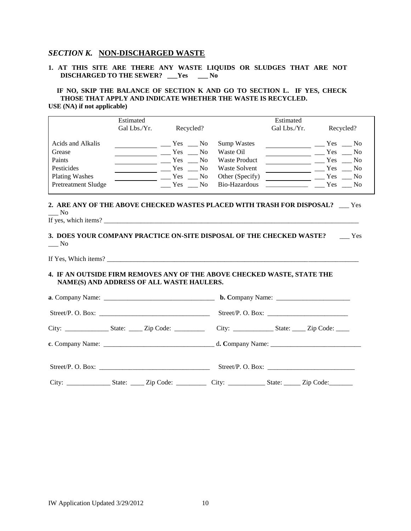## *SECTION K.* **NON-DISCHARGED WASTE**

#### **1. AT THIS SITE ARE THERE ANY WASTE LIQUIDS OR SLUDGES THAT ARE NOT DISCHARGED TO THE SEWER? \_\_\_Yes \_\_\_ No**

#### **IF NO, SKIP THE BALANCE OF SECTION K AND GO TO SECTION L. IF YES, CHECK THOSE THAT APPLY AND INDICATE WHETHER THE WASTE IS RECYCLED. USE (NA) if not applicable)**

|                            | Estimated    |              |                |                      | Estimated    |            |                        |
|----------------------------|--------------|--------------|----------------|----------------------|--------------|------------|------------------------|
|                            | Gal Lbs./Yr. | Recycled?    |                |                      | Gal Lbs./Yr. | Recycled?  |                        |
| Acids and Alkalis          |              | Yes No       |                | <b>Sump Wastes</b>   |              | Yes        | No.                    |
| Grease                     |              | Yes No       |                | Waste Oil            |              | Yes        | No.                    |
| Paints                     |              | <b>Yes</b>   | No.            | <b>Waste Product</b> |              | <b>Yes</b> | $\mathbf{N}\mathbf{o}$ |
| Pesticides                 |              | <b>Yes</b>   | N <sub>0</sub> | Waste Solvent        |              | Yes        | No                     |
| <b>Plating Washes</b>      |              | $Yes \_\_No$ |                | Other (Specify)      |              | <b>Yes</b> | $\equiv$ No            |
| <b>Pretreatment Sludge</b> |              | Yes          | No.            | Bio-Hazardous        |              | Yes        | No.                    |
|                            |              |              |                |                      |              |            |                        |
|                            |              |              |                |                      |              |            |                        |

#### **2. ARE ANY OF THE ABOVE CHECKED WASTES PLACED WITH TRASH FOR DISPOSAL?** \_\_\_ Yes  $\_\_$  No If yes, which items? \_\_\_\_\_\_\_\_\_\_\_\_\_\_\_\_\_\_\_\_\_\_\_\_\_\_\_\_\_\_\_\_\_\_\_\_\_\_\_\_\_\_\_\_\_\_\_\_\_\_\_\_\_\_\_\_\_\_\_\_\_\_\_\_\_\_\_\_\_\_\_\_\_\_\_\_

|  |  | If yes, which items? |  |
|--|--|----------------------|--|
|--|--|----------------------|--|

## **3. DOES YOUR COMPANY PRACTICE ON-SITE DISPOSAL OF THE CHECKED WASTE?** \_\_\_ Yes  $\_\_$  No

If Yes, Which items?

## **4. IF AN OUTSIDE FIRM REMOVES ANY OF THE ABOVE CHECKED WASTE, STATE THE NAME(S) AND ADDRESS OF ALL WASTE HAULERS.**

| Street/P. O. Box: |  |  |
|-------------------|--|--|
|                   |  |  |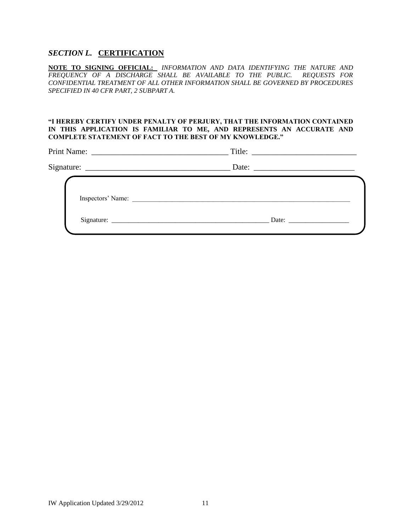## *SECTION L.* **CERTIFICATION**

**NOTE TO SIGNING OFFICIAL:** *INFORMATION AND DATA IDENTIFYING THE NATURE AND FREQUENCY OF A DISCHARGE SHALL BE AVAILABLE TO THE PUBLIC. REQUESTS FOR CONFIDENTIAL TREATMENT OF ALL OTHER INFORMATION SHALL BE GOVERNED BY PROCEDURES SPECIFIED IN 40 CFR PART, 2 SUBPART A.*

## **"I HEREBY CERTIFY UNDER PENALTY OF PERJURY, THAT THE INFORMATION CONTAINED IN THIS APPLICATION IS FAMILIAR TO ME, AND REPRESENTS AN ACCURATE AND COMPLETE STATEMENT OF FACT TO THE BEST OF MY KNOWLEDGE."**

Print Name: \_\_\_\_\_\_\_\_\_\_\_\_\_\_\_\_\_\_\_\_\_\_\_\_\_\_\_\_\_\_\_\_\_\_ Title: \_\_\_\_\_\_\_\_\_\_\_\_\_\_\_\_\_\_\_\_\_\_\_\_\_\_

| n.         |      |  |
|------------|------|--|
| Signature: | Jate |  |

| Inspectors' Name: |       |  |
|-------------------|-------|--|
| Signature:        | Date: |  |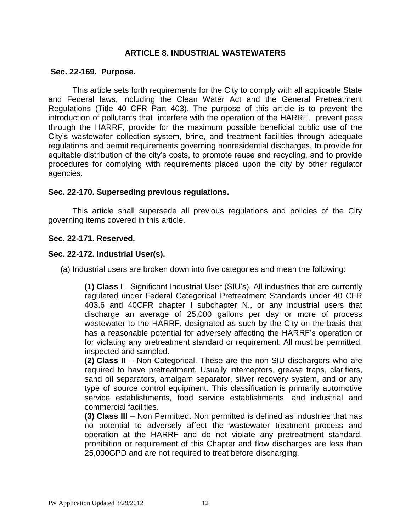# **ARTICLE 8. INDUSTRIAL WASTEWATERS**

## **[Sec. 22-169. Purpose.](http://www.qcode.us/codes/escondido/view.php?topic=22-8-22_169&frames=on)**

This article sets forth requirements for the City to comply with all applicable State and Federal laws, including the Clean Water Act and the General Pretreatment Regulations (Title 40 CFR Part 403). The purpose of this article is to prevent the introduction of pollutants that interfere with the operation of the HARRF, prevent pass through the HARRF, provide for the maximum possible beneficial public use of the City's wastewater collection system, brine, and treatment facilities through adequate regulations and permit requirements governing nonresidential discharges, to provide for equitable distribution of the city's costs, to promote reuse and recycling, and to provide procedures for complying with requirements placed upon the city by other regulator agencies.

# **Sec. 22-170. [Superseding previous regulations.](http://www.qcode.us/codes/escondido/view.php?topic=22-8-22_170&frames=on)**

This article shall supersede all previous regulations and policies of the City governing items covered in this article.

# **[Sec. 22-171.](http://www.qcode.us/codes/escondido/view.php?topic=22-8-22_171&frames=on) Reserved.**

# **[Sec. 22-172.](http://www.qcode.us/codes/escondido/view.php?topic=22-8-22_171&frames=on) Industrial User(s).**

(a) Industrial users are broken down into five categories and mean the following:

**(1) Class I** - Significant Industrial User (SIU's). All industries that are currently regulated under Federal Categorical Pretreatment Standards under 40 CFR 403.6 and 40CFR chapter I subchapter N., or any industrial users that discharge an average of 25,000 gallons per day or more of process wastewater to the HARRF, designated as such by the City on the basis that has a reasonable potential for adversely affecting the HARRF's operation or for violating any pretreatment standard or requirement. All must be permitted, inspected and sampled.

**(2) Class II** – Non-Categorical. These are the non-SIU dischargers who are required to have pretreatment. Usually interceptors, grease traps, clarifiers, sand oil separators, amalgam separator, silver recovery system, and or any type of source control equipment. This classification is primarily automotive service establishments, food service establishments, and industrial and commercial facilities.

**(3) Class III** – Non Permitted. Non permitted is defined as industries that has no potential to adversely affect the wastewater treatment process and operation at the HARRF and do not violate any pretreatment standard, prohibition or requirement of this Chapter and flow discharges are less than 25,000GPD and are not required to treat before discharging.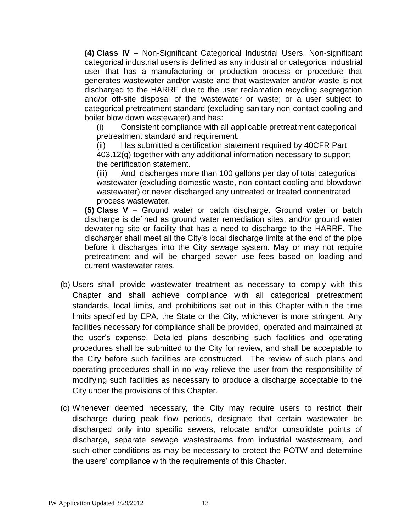**(4) Class IV** – Non-Significant Categorical Industrial Users. Non-significant categorical industrial users is defined as any industrial or categorical industrial user that has a manufacturing or production process or procedure that generates wastewater and/or waste and that wastewater and/or waste is not discharged to the HARRF due to the user reclamation recycling segregation and/or off-site disposal of the wastewater or waste; or a user subject to categorical pretreatment standard (excluding sanitary non-contact cooling and boiler blow down wastewater) and has:

(i) Consistent compliance with all applicable pretreatment categorical pretreatment standard and requirement.

(ii) Has submitted a certification statement required by 40CFR Part 403.12(q) together with any additional information necessary to support the certification statement.

(iii) And discharges more than 100 gallons per day of total categorical wastewater (excluding domestic waste, non-contact cooling and blowdown wastewater) or never discharged any untreated or treated concentrated process wastewater.

**(5) Class V** – Ground water or batch discharge. Ground water or batch discharge is defined as ground water remediation sites, and/or ground water dewatering site or facility that has a need to discharge to the HARRF. The discharger shall meet all the City's local discharge limits at the end of the pipe before it discharges into the City sewage system. May or may not require pretreatment and will be charged sewer use fees based on loading and current wastewater rates.

- (b) Users shall provide wastewater treatment as necessary to comply with this Chapter and shall achieve compliance with all categorical pretreatment standards, local limits, and prohibitions set out in this Chapter within the time limits specified by EPA, the State or the City, whichever is more stringent. Any facilities necessary for compliance shall be provided, operated and maintained at the user's expense. Detailed plans describing such facilities and operating procedures shall be submitted to the City for review, and shall be acceptable to the City before such facilities are constructed. The review of such plans and operating procedures shall in no way relieve the user from the responsibility of modifying such facilities as necessary to produce a discharge acceptable to the City under the provisions of this Chapter.
- (c) Whenever deemed necessary, the City may require users to restrict their discharge during peak flow periods, designate that certain wastewater be discharged only into specific sewers, relocate and/or consolidate points of discharge, separate sewage wastestreams from industrial wastestream, and such other conditions as may be necessary to protect the POTW and determine the users' compliance with the requirements of this Chapter.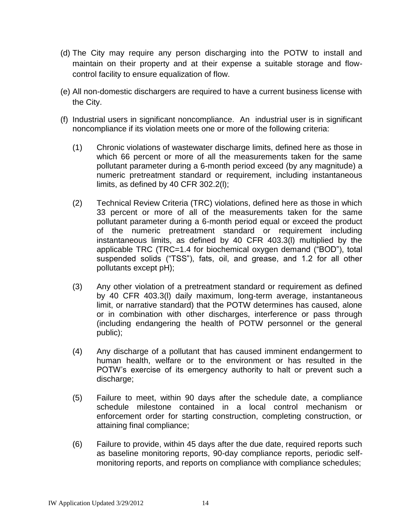- (d) The City may require any person discharging into the POTW to install and maintain on their property and at their expense a suitable storage and flowcontrol facility to ensure equalization of flow.
- (e) All non-domestic dischargers are required to have a current business license with the City.
- (f) Industrial users in significant noncompliance. An industrial user is in significant noncompliance if its violation meets one or more of the following criteria:
	- (1) Chronic violations of wastewater discharge limits, defined here as those in which 66 percent or more of all the measurements taken for the same pollutant parameter during a 6-month period exceed (by any magnitude) a numeric pretreatment standard or requirement, including instantaneous limits, as defined by 40 CFR 302.2(l);
	- (2) Technical Review Criteria (TRC) violations, defined here as those in which 33 percent or more of all of the measurements taken for the same pollutant parameter during a 6-month period equal or exceed the product of the numeric pretreatment standard or requirement including instantaneous limits, as defined by 40 CFR 403.3(l) multiplied by the applicable TRC (TRC=1.4 for biochemical oxygen demand ("BOD"), total suspended solids ("TSS"), fats, oil, and grease, and 1.2 for all other pollutants except pH);
	- (3) Any other violation of a pretreatment standard or requirement as defined by 40 CFR 403.3(l) daily maximum, long-term average, instantaneous limit, or narrative standard) that the POTW determines has caused, alone or in combination with other discharges, interference or pass through (including endangering the health of POTW personnel or the general public);
	- (4) Any discharge of a pollutant that has caused imminent endangerment to human health, welfare or to the environment or has resulted in the POTW's exercise of its emergency authority to halt or prevent such a discharge;
	- (5) Failure to meet, within 90 days after the schedule date, a compliance schedule milestone contained in a local control mechanism or enforcement order for starting construction, completing construction, or attaining final compliance;
	- (6) Failure to provide, within 45 days after the due date, required reports such as baseline monitoring reports, 90-day compliance reports, periodic selfmonitoring reports, and reports on compliance with compliance schedules;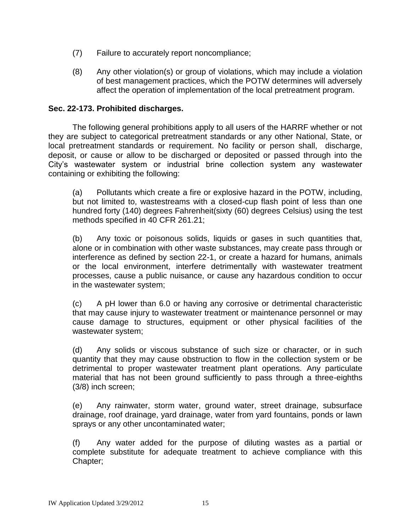- (7) Failure to accurately report noncompliance;
- (8) Any other violation(s) or group of violations, which may include a violation of best management practices, which the POTW determines will adversely affect the operation of implementation of the local pretreatment program.

## **Sec. 22-173. [Prohibited discharges.](http://www.qcode.us/codes/escondido/view.php?topic=22-8-22_173&frames=on)**

The following general prohibitions apply to all users of the HARRF whether or not they are subject to categorical pretreatment standards or any other National, State, or local pretreatment standards or requirement. No facility or person shall, discharge, deposit, or cause or allow to be discharged or deposited or passed through into the City's wastewater system or industrial brine collection system any wastewater containing or exhibiting the following:

(a) Pollutants which create a fire or explosive hazard in the POTW, including, but not limited to, wastestreams with a closed-cup flash point of less than one hundred forty (140) degrees Fahrenheit(sixty (60) degrees Celsius) using the test methods specified in 40 CFR 261.21;

(b) Any toxic or poisonous solids, liquids or gases in such quantities that, alone or in combination with other waste substances, may create pass through or interference as defined by section 22-1, or create a hazard for humans, animals or the local environment, interfere detrimentally with wastewater treatment processes, cause a public nuisance, or cause any hazardous condition to occur in the wastewater system;

(c) A pH lower than 6.0 or having any corrosive or detrimental characteristic that may cause injury to wastewater treatment or maintenance personnel or may cause damage to structures, equipment or other physical facilities of the wastewater system;

(d) Any solids or viscous substance of such size or character, or in such quantity that they may cause obstruction to flow in the collection system or be detrimental to proper wastewater treatment plant operations. Any particulate material that has not been ground sufficiently to pass through a three-eighths (3/8) inch screen;

(e) Any rainwater, storm water, ground water, street drainage, subsurface drainage, roof drainage, yard drainage, water from yard fountains, ponds or lawn sprays or any other uncontaminated water;

(f) Any water added for the purpose of diluting wastes as a partial or complete substitute for adequate treatment to achieve compliance with this Chapter;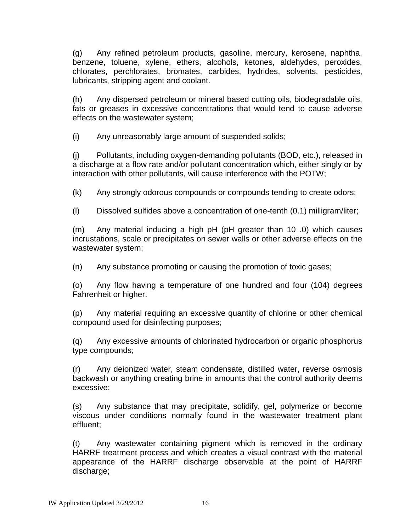(g) Any refined petroleum products, gasoline, mercury, kerosene, naphtha, benzene, toluene, xylene, ethers, alcohols, ketones, aldehydes, peroxides, chlorates, perchlorates, bromates, carbides, hydrides, solvents, pesticides, lubricants, stripping agent and coolant.

(h) Any dispersed petroleum or mineral based cutting oils, biodegradable oils, fats or greases in excessive concentrations that would tend to cause adverse effects on the wastewater system;

(i) Any unreasonably large amount of suspended solids;

(j) Pollutants, including oxygen-demanding pollutants (BOD, etc.), released in a discharge at a flow rate and/or pollutant concentration which, either singly or by interaction with other pollutants, will cause interference with the POTW;

(k) Any strongly odorous compounds or compounds tending to create odors;

(l) Dissolved sulfides above a concentration of one-tenth (0.1) milligram/liter;

(m) Any material inducing a high pH (pH greater than 10 .0) which causes incrustations, scale or precipitates on sewer walls or other adverse effects on the wastewater system;

(n) Any substance promoting or causing the promotion of toxic gases;

(o) Any flow having a temperature of one hundred and four (104) degrees Fahrenheit or higher.

(p) Any material requiring an excessive quantity of chlorine or other chemical compound used for disinfecting purposes;

(q) Any excessive amounts of chlorinated hydrocarbon or organic phosphorus type compounds;

(r) Any deionized water, steam condensate, distilled water, reverse osmosis backwash or anything creating brine in amounts that the control authority deems excessive;

(s) Any substance that may precipitate, solidify, gel, polymerize or become viscous under conditions normally found in the wastewater treatment plant effluent;

(t) Any wastewater containing pigment which is removed in the ordinary HARRF treatment process and which creates a visual contrast with the material appearance of the HARRF discharge observable at the point of HARRF discharge;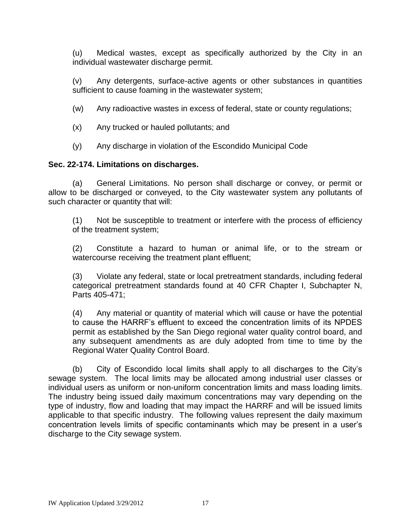(u) Medical wastes, except as specifically authorized by the City in an individual wastewater discharge permit.

(v) Any detergents, surface-active agents or other substances in quantities sufficient to cause foaming in the wastewater system;

- (w) Any radioactive wastes in excess of federal, state or county regulations;
- (x) Any trucked or hauled pollutants; and
- (y) Any discharge in violation of the Escondido Municipal Code

# **Sec. 22-174. [Limitations on discharges.](http://www.qcode.us/codes/escondido/view.php?topic=22-8-22_174&frames=on)**

(a) General Limitations. No person shall discharge or convey, or permit or allow to be discharged or conveyed, to the City wastewater system any pollutants of such character or quantity that will:

(1) Not be susceptible to treatment or interfere with the process of efficiency of the treatment system;

(2) Constitute a hazard to human or animal life, or to the stream or watercourse receiving the treatment plant effluent;

(3) Violate any federal, state or local pretreatment standards, including federal categorical pretreatment standards found at 40 CFR Chapter I, Subchapter N, Parts 405-471;

(4) Any material or quantity of material which will cause or have the potential to cause the HARRF's effluent to exceed the concentration limits of its NPDES permit as established by the San Diego regional water quality control board, and any subsequent amendments as are duly adopted from time to time by the Regional Water Quality Control Board.

(b) City of Escondido local limits shall apply to all discharges to the City's sewage system. The local limits may be allocated among industrial user classes or individual users as uniform or non-uniform concentration limits and mass loading limits. The industry being issued daily maximum concentrations may vary depending on the type of industry, flow and loading that may impact the HARRF and will be issued limits applicable to that specific industry. The following values represent the daily maximum concentration levels limits of specific contaminants which may be present in a user's discharge to the City sewage system.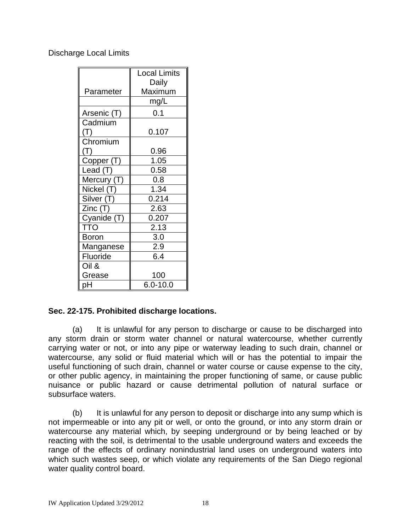Discharge Local Limits

|                | <b>Local Limits</b> |
|----------------|---------------------|
|                | Daily               |
| Parameter      | Maximum             |
|                | mg/L                |
| Arsenic (T)    | 0.1                 |
| Cadmium        |                     |
| (T)            | 0.107               |
| Chromium       |                     |
| $(\mathsf{T})$ | 0.96                |
| Copper (T)     | 1.05                |
| Lead (T)       | 0.58                |
| Mercury (T)    | 0.8                 |
| Nickel (T)     | 1.34                |
| Silver (T)     | 0.214               |
| Zinc(T)        | 2.63                |
| Cyanide (T)    | 0.207               |
| <b>TTO</b>     | 2.13                |
| <b>Boron</b>   | 3.0                 |
| Manganese      | 2.9                 |
| Fluoride       | 6.4                 |
| Oil &          |                     |
| Grease         | 100                 |
| pН             | $6.0 - 10.0$        |

# **Sec. 22-175. [Prohibited discharge locations.](http://www.qcode.us/codes/escondido/view.php?topic=22-8-22_175&frames=on)**

(a) It is unlawful for any person to discharge or cause to be discharged into any storm drain or storm water channel or natural watercourse, whether currently carrying water or not, or into any pipe or waterway leading to such drain, channel or watercourse, any solid or fluid material which will or has the potential to impair the useful functioning of such drain, channel or water course or cause expense to the city, or other public agency, in maintaining the proper functioning of same, or cause public nuisance or public hazard or cause detrimental pollution of natural surface or subsurface waters.

(b) It is unlawful for any person to deposit or discharge into any sump which is not impermeable or into any pit or well, or onto the ground, or into any storm drain or watercourse any material which, by seeping underground or by being leached or by reacting with the soil, is detrimental to the usable underground waters and exceeds the range of the effects of ordinary nonindustrial land uses on underground waters into which such wastes seep, or which violate any requirements of the San Diego regional water quality control board.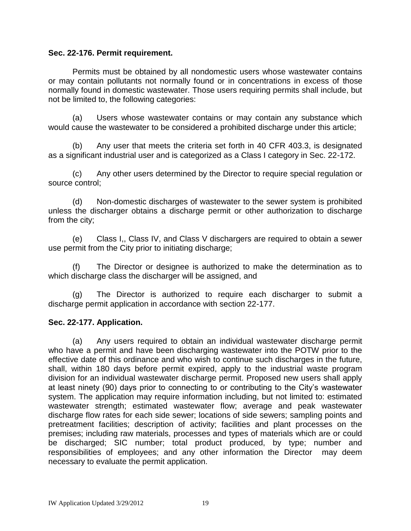## **Sec. 22-176. [Permit requirement.](http://www.qcode.us/codes/escondido/view.php?topic=22-8-22_176&frames=on)**

Permits must be obtained by all nondomestic users whose wastewater contains or may contain pollutants not normally found or in concentrations in excess of those normally found in domestic wastewater. Those users requiring permits shall include, but not be limited to, the following categories:

(a) Users whose wastewater contains or may contain any substance which would cause the wastewater to be considered a prohibited discharge under this article;

(b) Any user that meets the criteria set forth in 40 CFR 403.3, is designated as a significant industrial user and is categorized as a Class I category in Sec. 22-172.

(c) Any other users determined by the Director to require special regulation or source control;

(d) Non-domestic discharges of wastewater to the sewer system is prohibited unless the discharger obtains a discharge permit or other authorization to discharge from the city;

(e) Class I,, Class IV, and Class V dischargers are required to obtain a sewer use permit from the City prior to initiating discharge;

The Director or designee is authorized to make the determination as to which discharge class the discharger will be assigned, and

(g) The Director is authorized to require each discharger to submit a discharge permit application in accordance with section 22-177.

# **[Sec. 22-177.](http://www.qcode.us/codes/escondido/view.php?topic=22-8-22_177&frames=on) Application.**

(a) Any users required to obtain an individual wastewater discharge permit who have a permit and have been discharging wastewater into the POTW prior to the effective date of this ordinance and who wish to continue such discharges in the future, shall, within 180 days before permit expired, apply to the industrial waste program division for an individual wastewater discharge permit. Proposed new users shall apply at least ninety (90) days prior to connecting to or contributing to the City's wastewater system. The application may require information including, but not limited to: estimated wastewater strength; estimated wastewater flow; average and peak wastewater discharge flow rates for each side sewer; locations of side sewers; sampling points and pretreatment facilities; description of activity; facilities and plant processes on the premises; including raw materials, processes and types of materials which are or could be discharged; SIC number; total product produced, by type; number and responsibilities of employees; and any other information the Director may deem necessary to evaluate the permit application.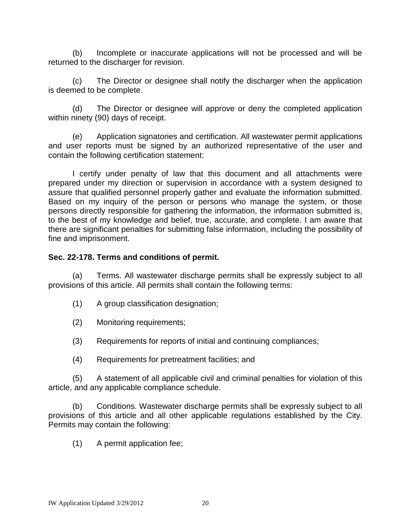(b) Incomplete or inaccurate applications will not be processed and will be returned to the discharger for revision.

(c) The Director or designee shall notify the discharger when the application is deemed to be complete.

(d) The Director or designee will approve or deny the completed application within ninety (90) days of receipt.

(e) Application signatories and certification. All wastewater permit applications and user reports must be signed by an authorized representative of the user and contain the following certification statement:

I certify under penalty of law that this document and all attachments were prepared under my direction or supervision in accordance with a system designed to assure that qualified personnel properly gather and evaluate the information submitted. Based on my inquiry of the person or persons who manage the system, or those persons directly responsible for gathering the information, the information submitted is, to the best of my knowledge and belief, true, accurate, and complete. I am aware that there are significant penalties for submitting false information, including the possibility of fine and imprisonment.

# **Sec. 22-178. [Terms and conditions of permit.](http://www.qcode.us/codes/escondido/view.php?topic=22-8-22_178&frames=on)**

(a) Terms. All wastewater discharge permits shall be expressly subject to all provisions of this article. All permits shall contain the following terms:

- (1) A group classification designation;
- (2) Monitoring requirements;
- (3) Requirements for reports of initial and continuing compliances;
- (4) Requirements for pretreatment facilities; and

(5) A statement of all applicable civil and criminal penalties for violation of this article, and any applicable compliance schedule.

(b) Conditions. Wastewater discharge permits shall be expressly subject to all provisions of this article and all other applicable regulations established by the City. Permits may contain the following:

(1) A permit application fee;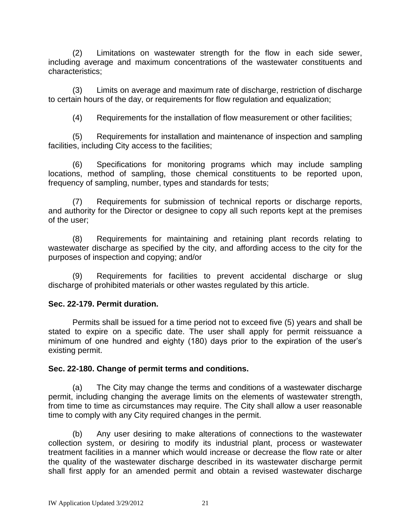(2) Limitations on wastewater strength for the flow in each side sewer, including average and maximum concentrations of the wastewater constituents and characteristics;

(3) Limits on average and maximum rate of discharge, restriction of discharge to certain hours of the day, or requirements for flow regulation and equalization;

(4) Requirements for the installation of flow measurement or other facilities;

(5) Requirements for installation and maintenance of inspection and sampling facilities, including City access to the facilities;

(6) Specifications for monitoring programs which may include sampling locations, method of sampling, those chemical constituents to be reported upon, frequency of sampling, number, types and standards for tests;

(7) Requirements for submission of technical reports or discharge reports, and authority for the Director or designee to copy all such reports kept at the premises of the user;

(8) Requirements for maintaining and retaining plant records relating to wastewater discharge as specified by the city, and affording access to the city for the purposes of inspection and copying; and/or

(9) Requirements for facilities to prevent accidental discharge or slug discharge of prohibited materials or other wastes regulated by this article.

# **Sec. 22-179. [Permit duration.](http://www.qcode.us/codes/escondido/view.php?topic=22-8-22_179&frames=on)**

Permits shall be issued for a time period not to exceed five (5) years and shall be stated to expire on a specific date. The user shall apply for permit reissuance a minimum of one hundred and eighty (180) days prior to the expiration of the user's existing permit.

# **Sec. 22-180. [Change of permit terms and conditions.](http://www.qcode.us/codes/escondido/view.php?topic=22-8-22_180&frames=on)**

(a) The City may change the terms and conditions of a wastewater discharge permit, including changing the average limits on the elements of wastewater strength, from time to time as circumstances may require. The City shall allow a user reasonable time to comply with any City required changes in the permit.

(b) Any user desiring to make alterations of connections to the wastewater collection system, or desiring to modify its industrial plant, process or wastewater treatment facilities in a manner which would increase or decrease the flow rate or alter the quality of the wastewater discharge described in its wastewater discharge permit shall first apply for an amended permit and obtain a revised wastewater discharge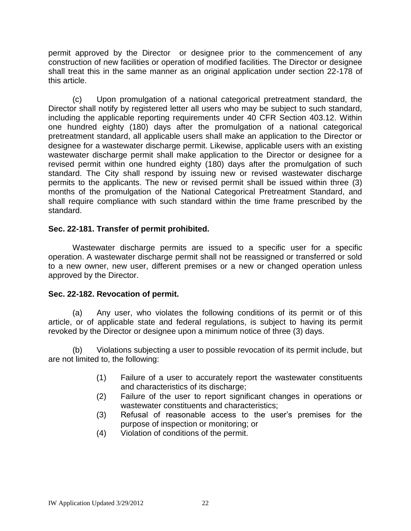permit approved by the Director or designee prior to the commencement of any construction of new facilities or operation of modified facilities. The Director or designee shall treat this in the same manner as an original application under section 22-178 of this article.

(c) Upon promulgation of a national categorical pretreatment standard, the Director shall notify by registered letter all users who may be subject to such standard, including the applicable reporting requirements under 40 CFR Section 403.12. Within one hundred eighty (180) days after the promulgation of a national categorical pretreatment standard, all applicable users shall make an application to the Director or designee for a wastewater discharge permit. Likewise, applicable users with an existing wastewater discharge permit shall make application to the Director or designee for a revised permit within one hundred eighty (180) days after the promulgation of such standard. The City shall respond by issuing new or revised wastewater discharge permits to the applicants. The new or revised permit shall be issued within three (3) months of the promulgation of the National Categorical Pretreatment Standard, and shall require compliance with such standard within the time frame prescribed by the standard.

# **Sec. 22-181. [Transfer of permit prohibited.](http://www.qcode.us/codes/escondido/view.php?topic=22-8-22_181&frames=on)**

Wastewater discharge permits are issued to a specific user for a specific operation. A wastewater discharge permit shall not be reassigned or transferred or sold to a new owner, new user, different premises or a new or changed operation unless approved by the Director.

# **Sec. 22-182. [Revocation of permit.](http://www.qcode.us/codes/escondido/view.php?topic=22-8-22_182&frames=on)**

(a) Any user, who violates the following conditions of its permit or of this article, or of applicable state and federal regulations, is subject to having its permit revoked by the Director or designee upon a minimum notice of three (3) days.

(b) Violations subjecting a user to possible revocation of its permit include, but are not limited to, the following:

- (1) Failure of a user to accurately report the wastewater constituents and characteristics of its discharge;
- (2) Failure of the user to report significant changes in operations or wastewater constituents and characteristics;
- (3) Refusal of reasonable access to the user's premises for the purpose of inspection or monitoring; or
- (4) Violation of conditions of the permit.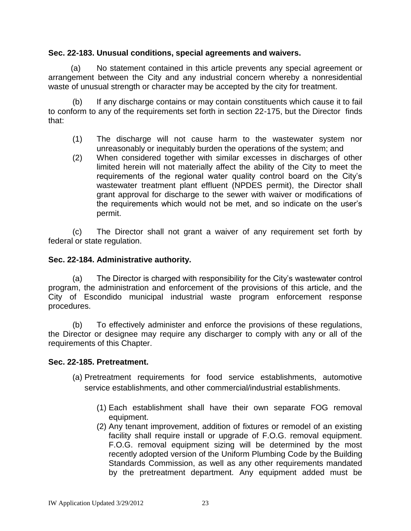# **Sec. 22-183. [Unusual conditions, special agreements and waivers.](http://www.qcode.us/codes/escondido/view.php?topic=22-8-22_183&frames=on)**

 (a) No statement contained in this article prevents any special agreement or arrangement between the City and any industrial concern whereby a nonresidential waste of unusual strength or character may be accepted by the city for treatment.

(b) If any discharge contains or may contain constituents which cause it to fail to conform to any of the requirements set forth in section 22-175, but the Director finds that:

- (1) The discharge will not cause harm to the wastewater system nor unreasonably or inequitably burden the operations of the system; and
- (2) When considered together with similar excesses in discharges of other limited herein will not materially affect the ability of the City to meet the requirements of the regional water quality control board on the City's wastewater treatment plant effluent (NPDES permit), the Director shall grant approval for discharge to the sewer with waiver or modifications of the requirements which would not be met, and so indicate on the user's permit.

(c) The Director shall not grant a waiver of any requirement set forth by federal or state regulation.

# **Sec. 22-184. [Administrative authority.](http://www.qcode.us/codes/escondido/view.php?topic=22-8-22_184&frames=on)**

(a) The Director is charged with responsibility for the City's wastewater control program, the administration and enforcement of the provisions of this article, and the City of Escondido municipal industrial waste program enforcement response procedures.

(b) To effectively administer and enforce the provisions of these regulations, the Director or designee may require any discharger to comply with any or all of the requirements of this Chapter.

# **Sec. 22-185. [Pretreatment.](http://www.qcode.us/codes/escondido/view.php?topic=22-8-22_185&frames=on)**

- (a) Pretreatment requirements for food service establishments, automotive service establishments, and other commercial/industrial establishments.
	- (1) Each establishment shall have their own separate FOG removal equipment.
	- (2) Any tenant improvement, addition of fixtures or remodel of an existing facility shall require install or upgrade of F.O.G. removal equipment. F.O.G. removal equipment sizing will be determined by the most recently adopted version of the Uniform Plumbing Code by the Building Standards Commission, as well as any other requirements mandated by the pretreatment department. Any equipment added must be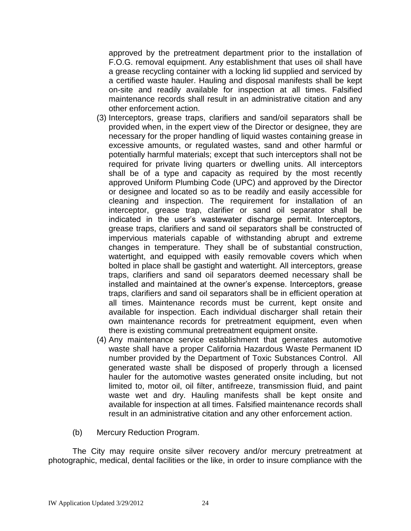approved by the pretreatment department prior to the installation of F.O.G. removal equipment. Any establishment that uses oil shall have a grease recycling container with a locking lid supplied and serviced by a certified waste hauler. Hauling and disposal manifests shall be kept on-site and readily available for inspection at all times. Falsified maintenance records shall result in an administrative citation and any other enforcement action.

- (3) Interceptors, grease traps, clarifiers and sand/oil separators shall be provided when, in the expert view of the Director or designee, they are necessary for the proper handling of liquid wastes containing grease in excessive amounts, or regulated wastes, sand and other harmful or potentially harmful materials; except that such interceptors shall not be required for private living quarters or dwelling units. All interceptors shall be of a type and capacity as required by the most recently approved Uniform Plumbing Code (UPC) and approved by the Director or designee and located so as to be readily and easily accessible for cleaning and inspection. The requirement for installation of an interceptor, grease trap, clarifier or sand oil separator shall be indicated in the user's wastewater discharge permit. Interceptors, grease traps, clarifiers and sand oil separators shall be constructed of impervious materials capable of withstanding abrupt and extreme changes in temperature. They shall be of substantial construction, watertight, and equipped with easily removable covers which when bolted in place shall be gastight and watertight. All interceptors, grease traps, clarifiers and sand oil separators deemed necessary shall be installed and maintained at the owner's expense. Interceptors, grease traps, clarifiers and sand oil separators shall be in efficient operation at all times. Maintenance records must be current, kept onsite and available for inspection. Each individual discharger shall retain their own maintenance records for pretreatment equipment, even when there is existing communal pretreatment equipment onsite.
- (4) Any maintenance service establishment that generates automotive waste shall have a proper California Hazardous Waste Permanent ID number provided by the Department of Toxic Substances Control. All generated waste shall be disposed of properly through a licensed hauler for the automotive wastes generated onsite including, but not limited to, motor oil, oil filter, antifreeze, transmission fluid, and paint waste wet and dry. Hauling manifests shall be kept onsite and available for inspection at all times. Falsified maintenance records shall result in an administrative citation and any other enforcement action.
- (b) Mercury Reduction Program.

The City may require onsite silver recovery and/or mercury pretreatment at photographic, medical, dental facilities or the like, in order to insure compliance with the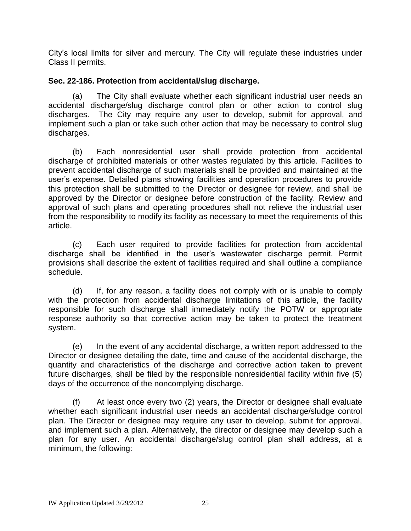City's local limits for silver and mercury. The City will regulate these industries under Class II permits.

# **Sec. 22-186. [Protection from accidental/slug discharge.](http://www.qcode.us/codes/escondido/view.php?topic=22-8-22_186&frames=on)**

(a) The City shall evaluate whether each significant industrial user needs an accidental discharge/slug discharge control plan or other action to control slug discharges. The City may require any user to develop, submit for approval, and implement such a plan or take such other action that may be necessary to control slug discharges.

(b) Each nonresidential user shall provide protection from accidental discharge of prohibited materials or other wastes regulated by this article. Facilities to prevent accidental discharge of such materials shall be provided and maintained at the user's expense. Detailed plans showing facilities and operation procedures to provide this protection shall be submitted to the Director or designee for review, and shall be approved by the Director or designee before construction of the facility. Review and approval of such plans and operating procedures shall not relieve the industrial user from the responsibility to modify its facility as necessary to meet the requirements of this article.

(c) Each user required to provide facilities for protection from accidental discharge shall be identified in the user's wastewater discharge permit. Permit provisions shall describe the extent of facilities required and shall outline a compliance schedule.

(d) If, for any reason, a facility does not comply with or is unable to comply with the protection from accidental discharge limitations of this article, the facility responsible for such discharge shall immediately notify the POTW or appropriate response authority so that corrective action may be taken to protect the treatment system.

(e) In the event of any accidental discharge, a written report addressed to the Director or designee detailing the date, time and cause of the accidental discharge, the quantity and characteristics of the discharge and corrective action taken to prevent future discharges, shall be filed by the responsible nonresidential facility within five (5) days of the occurrence of the noncomplying discharge.

(f) At least once every two (2) years, the Director or designee shall evaluate whether each significant industrial user needs an accidental discharge/sludge control plan. The Director or designee may require any user to develop, submit for approval, and implement such a plan. Alternatively, the director or designee may develop such a plan for any user. An accidental discharge/slug control plan shall address, at a minimum, the following: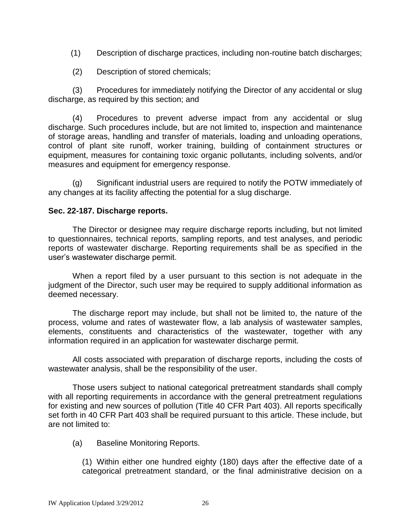(1) Description of discharge practices, including non-routine batch discharges;

(2) Description of stored chemicals;

(3) Procedures for immediately notifying the Director of any accidental or slug discharge, as required by this section; and

(4) Procedures to prevent adverse impact from any accidental or slug discharge. Such procedures include, but are not limited to, inspection and maintenance of storage areas, handling and transfer of materials, loading and unloading operations, control of plant site runoff, worker training, building of containment structures or equipment, measures for containing toxic organic pollutants, including solvents, and/or measures and equipment for emergency response.

(g) Significant industrial users are required to notify the POTW immediately of any changes at its facility affecting the potential for a slug discharge.

# **Sec. 22-187. [Discharge reports.](http://www.qcode.us/codes/escondido/view.php?topic=22-8-22_187&frames=on)**

The Director or designee may require discharge reports including, but not limited to questionnaires, technical reports, sampling reports, and test analyses, and periodic reports of wastewater discharge. Reporting requirements shall be as specified in the user's wastewater discharge permit.

When a report filed by a user pursuant to this section is not adequate in the judgment of the Director, such user may be required to supply additional information as deemed necessary.

The discharge report may include, but shall not be limited to, the nature of the process, volume and rates of wastewater flow, a lab analysis of wastewater samples, elements, constituents and characteristics of the wastewater, together with any information required in an application for wastewater discharge permit.

All costs associated with preparation of discharge reports, including the costs of wastewater analysis, shall be the responsibility of the user.

Those users subject to national categorical pretreatment standards shall comply with all reporting requirements in accordance with the general pretreatment regulations for existing and new sources of pollution (Title 40 CFR Part 403). All reports specifically set forth in 40 CFR Part 403 shall be required pursuant to this article. These include, but are not limited to:

(a) Baseline Monitoring Reports.

(1) Within either one hundred eighty (180) days after the effective date of a categorical pretreatment standard, or the final administrative decision on a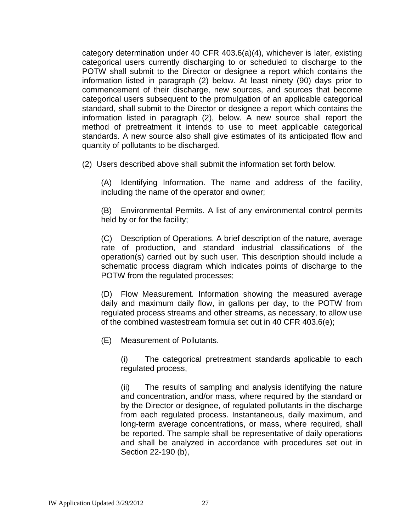category determination under 40 CFR 403.6(a)(4), whichever is later, existing categorical users currently discharging to or scheduled to discharge to the POTW shall submit to the Director or designee a report which contains the information listed in paragraph (2) below. At least ninety (90) days prior to commencement of their discharge, new sources, and sources that become categorical users subsequent to the promulgation of an applicable categorical standard, shall submit to the Director or designee a report which contains the information listed in paragraph (2), below. A new source shall report the method of pretreatment it intends to use to meet applicable categorical standards. A new source also shall give estimates of its anticipated flow and quantity of pollutants to be discharged.

(2) Users described above shall submit the information set forth below.

(A) Identifying Information. The name and address of the facility, including the name of the operator and owner;

(B) Environmental Permits. A list of any environmental control permits held by or for the facility;

(C) Description of Operations. A brief description of the nature, average rate of production, and standard industrial classifications of the operation(s) carried out by such user. This description should include a schematic process diagram which indicates points of discharge to the POTW from the regulated processes;

(D) Flow Measurement. Information showing the measured average daily and maximum daily flow, in gallons per day, to the POTW from regulated process streams and other streams, as necessary, to allow use of the combined wastestream formula set out in 40 CFR 403.6(e);

(E) Measurement of Pollutants.

(i) The categorical pretreatment standards applicable to each regulated process,

(ii) The results of sampling and analysis identifying the nature and concentration, and/or mass, where required by the standard or by the Director or designee, of regulated pollutants in the discharge from each regulated process. Instantaneous, daily maximum, and long-term average concentrations, or mass, where required, shall be reported. The sample shall be representative of daily operations and shall be analyzed in accordance with procedures set out in Section 22-190 (b),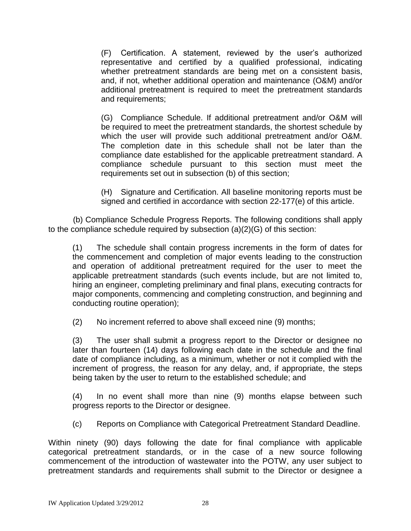(F) Certification. A statement, reviewed by the user's authorized representative and certified by a qualified professional, indicating whether pretreatment standards are being met on a consistent basis, and, if not, whether additional operation and maintenance (O&M) and/or additional pretreatment is required to meet the pretreatment standards and requirements;

(G) Compliance Schedule. If additional pretreatment and/or O&M will be required to meet the pretreatment standards, the shortest schedule by which the user will provide such additional pretreatment and/or O&M. The completion date in this schedule shall not be later than the compliance date established for the applicable pretreatment standard. A compliance schedule pursuant to this section must meet the requirements set out in subsection (b) of this section;

(H) Signature and Certification. All baseline monitoring reports must be signed and certified in accordance with section 22-177(e) of this article.

 (b) Compliance Schedule Progress Reports. The following conditions shall apply to the compliance schedule required by subsection (a)(2)(G) of this section:

(1) The schedule shall contain progress increments in the form of dates for the commencement and completion of major events leading to the construction and operation of additional pretreatment required for the user to meet the applicable pretreatment standards (such events include, but are not limited to, hiring an engineer, completing preliminary and final plans, executing contracts for major components, commencing and completing construction, and beginning and conducting routine operation);

(2) No increment referred to above shall exceed nine (9) months;

(3) The user shall submit a progress report to the Director or designee no later than fourteen (14) days following each date in the schedule and the final date of compliance including, as a minimum, whether or not it complied with the increment of progress, the reason for any delay, and, if appropriate, the steps being taken by the user to return to the established schedule; and

(4) In no event shall more than nine (9) months elapse between such progress reports to the Director or designee.

(c) Reports on Compliance with Categorical Pretreatment Standard Deadline.

Within ninety (90) days following the date for final compliance with applicable categorical pretreatment standards, or in the case of a new source following commencement of the introduction of wastewater into the POTW, any user subject to pretreatment standards and requirements shall submit to the Director or designee a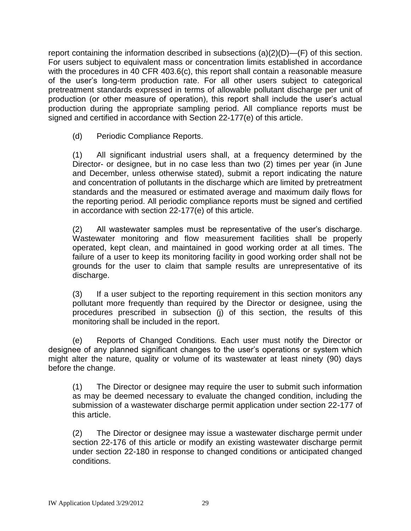report containing the information described in subsections  $(a)(2)(D)$ —(F) of this section. For users subject to equivalent mass or concentration limits established in accordance with the procedures in 40 CFR 403.6(c), this report shall contain a reasonable measure of the user's long-term production rate. For all other users subject to categorical pretreatment standards expressed in terms of allowable pollutant discharge per unit of production (or other measure of operation), this report shall include the user's actual production during the appropriate sampling period. All compliance reports must be signed and certified in accordance with Section 22-177(e) of this article.

(d) Periodic Compliance Reports.

(1) All significant industrial users shall, at a frequency determined by the Director- or designee, but in no case less than two (2) times per year (in June and December, unless otherwise stated), submit a report indicating the nature and concentration of pollutants in the discharge which are limited by pretreatment standards and the measured or estimated average and maximum daily flows for the reporting period. All periodic compliance reports must be signed and certified in accordance with section 22-177(e) of this article.

(2) All wastewater samples must be representative of the user's discharge. Wastewater monitoring and flow measurement facilities shall be properly operated, kept clean, and maintained in good working order at all times. The failure of a user to keep its monitoring facility in good working order shall not be grounds for the user to claim that sample results are unrepresentative of its discharge.

(3) If a user subject to the reporting requirement in this section monitors any pollutant more frequently than required by the Director or designee, using the procedures prescribed in subsection (j) of this section, the results of this monitoring shall be included in the report.

(e) Reports of Changed Conditions. Each user must notify the Director or designee of any planned significant changes to the user's operations or system which might alter the nature, quality or volume of its wastewater at least ninety (90) days before the change.

(1) The Director or designee may require the user to submit such information as may be deemed necessary to evaluate the changed condition, including the submission of a wastewater discharge permit application under section 22-177 of this article.

(2) The Director or designee may issue a wastewater discharge permit under section 22-176 of this article or modify an existing wastewater discharge permit under section 22-180 in response to changed conditions or anticipated changed conditions.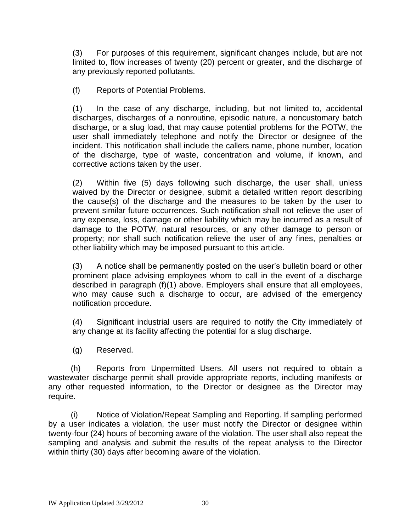(3) For purposes of this requirement, significant changes include, but are not limited to, flow increases of twenty (20) percent or greater, and the discharge of any previously reported pollutants.

(f) Reports of Potential Problems.

(1) In the case of any discharge, including, but not limited to, accidental discharges, discharges of a nonroutine, episodic nature, a noncustomary batch discharge, or a slug load, that may cause potential problems for the POTW, the user shall immediately telephone and notify the Director or designee of the incident. This notification shall include the callers name, phone number, location of the discharge, type of waste, concentration and volume, if known, and corrective actions taken by the user.

(2) Within five (5) days following such discharge, the user shall, unless waived by the Director or designee, submit a detailed written report describing the cause(s) of the discharge and the measures to be taken by the user to prevent similar future occurrences. Such notification shall not relieve the user of any expense, loss, damage or other liability which may be incurred as a result of damage to the POTW, natural resources, or any other damage to person or property; nor shall such notification relieve the user of any fines, penalties or other liability which may be imposed pursuant to this article.

(3) A notice shall be permanently posted on the user's bulletin board or other prominent place advising employees whom to call in the event of a discharge described in paragraph (f)(1) above. Employers shall ensure that all employees, who may cause such a discharge to occur, are advised of the emergency notification procedure.

(4) Significant industrial users are required to notify the City immediately of any change at its facility affecting the potential for a slug discharge.

(g) Reserved.

 (h) Reports from Unpermitted Users. All users not required to obtain a wastewater discharge permit shall provide appropriate reports, including manifests or any other requested information, to the Director or designee as the Director may require.

 (i) Notice of Violation/Repeat Sampling and Reporting. If sampling performed by a user indicates a violation, the user must notify the Director or designee within twenty-four (24) hours of becoming aware of the violation. The user shall also repeat the sampling and analysis and submit the results of the repeat analysis to the Director within thirty (30) days after becoming aware of the violation.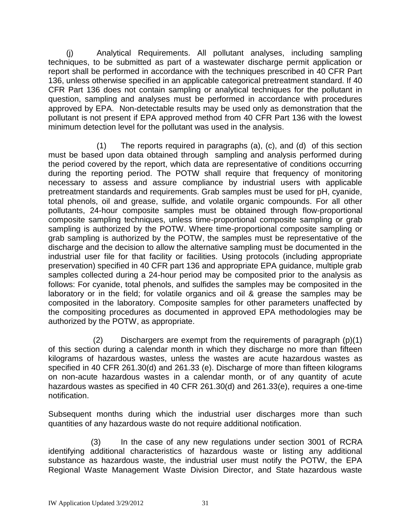(j) Analytical Requirements. All pollutant analyses, including sampling techniques, to be submitted as part of a wastewater discharge permit application or report shall be performed in accordance with the techniques prescribed in 40 CFR Part 136, unless otherwise specified in an applicable categorical pretreatment standard. If 40 CFR Part 136 does not contain sampling or analytical techniques for the pollutant in question, sampling and analyses must be performed in accordance with procedures approved by EPA. Non-detectable results may be used only as demonstration that the pollutant is not present if EPA approved method from 40 CFR Part 136 with the lowest minimum detection level for the pollutant was used in the analysis.

(1) The reports required in paragraphs (a), (c), and (d) of this section must be based upon data obtained through sampling and analysis performed during the period covered by the report, which data are representative of conditions occurring during the reporting period. The POTW shall require that frequency of monitoring necessary to assess and assure compliance by industrial users with applicable pretreatment standards and requirements. Grab samples must be used for pH, cyanide, total phenols, oil and grease, sulfide, and volatile organic compounds. For all other pollutants, 24-hour composite samples must be obtained through flow-proportional composite sampling techniques, unless time-proportional composite sampling or grab sampling is authorized by the POTW. Where time-proportional composite sampling or grab sampling is authorized by the POTW, the samples must be representative of the discharge and the decision to allow the alternative sampling must be documented in the industrial user file for that facility or facilities. Using protocols (including appropriate preservation) specified in 40 CFR part 136 and appropriate EPA guidance, multiple grab samples collected during a 24-hour period may be composited prior to the analysis as follows: For cyanide, total phenols, and sulfides the samples may be composited in the laboratory or in the field; for volatile organics and oil & grease the samples may be composited in the laboratory. Composite samples for other parameters unaffected by the compositing procedures as documented in approved EPA methodologies may be authorized by the POTW, as appropriate.

 (2) Dischargers are exempt from the requirements of paragraph (p)(1) of this section during a calendar month in which they discharge no more than fifteen kilograms of hazardous wastes, unless the wastes are acute hazardous wastes as specified in 40 CFR 261.30(d) and 261.33 (e). Discharge of more than fifteen kilograms on non-acute hazardous wastes in a calendar month, or of any quantity of acute hazardous wastes as specified in 40 CFR 261.30(d) and 261.33(e), requires a one-time notification.

Subsequent months during which the industrial user discharges more than such quantities of any hazardous waste do not require additional notification.

 (3) In the case of any new regulations under section 3001 of RCRA identifying additional characteristics of hazardous waste or listing any additional substance as hazardous waste, the industrial user must notify the POTW, the EPA Regional Waste Management Waste Division Director, and State hazardous waste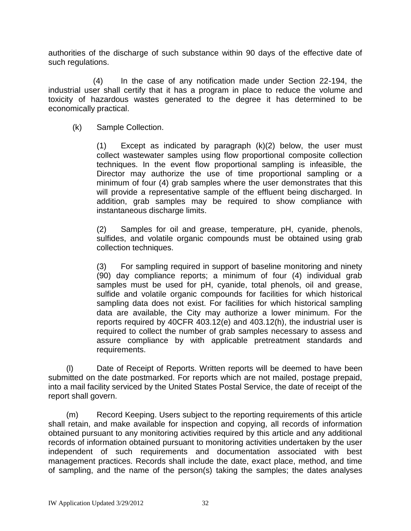authorities of the discharge of such substance within 90 days of the effective date of such regulations.

 (4) In the case of any notification made under Section 22-194, the industrial user shall certify that it has a program in place to reduce the volume and toxicity of hazardous wastes generated to the degree it has determined to be economically practical.

(k) Sample Collection.

(1) Except as indicated by paragraph (k)(2) below, the user must collect wastewater samples using flow proportional composite collection techniques. In the event flow proportional sampling is infeasible, the Director may authorize the use of time proportional sampling or a minimum of four (4) grab samples where the user demonstrates that this will provide a representative sample of the effluent being discharged. In addition, grab samples may be required to show compliance with instantaneous discharge limits.

(2) Samples for oil and grease, temperature, pH, cyanide, phenols, sulfides, and volatile organic compounds must be obtained using grab collection techniques.

(3) For sampling required in support of baseline monitoring and ninety (90) day compliance reports; a minimum of four (4) individual grab samples must be used for pH, cyanide, total phenols, oil and grease, sulfide and volatile organic compounds for facilities for which historical sampling data does not exist. For facilities for which historical sampling data are available, the City may authorize a lower minimum. For the reports required by 40CFR 403.12(e) and 403.12(h), the industrial user is required to collect the number of grab samples necessary to assess and assure compliance by with applicable pretreatment standards and requirements.

 (l) Date of Receipt of Reports. Written reports will be deemed to have been submitted on the date postmarked. For reports which are not mailed, postage prepaid, into a mail facility serviced by the United States Postal Service, the date of receipt of the report shall govern.

 (m) Record Keeping. Users subject to the reporting requirements of this article shall retain, and make available for inspection and copying, all records of information obtained pursuant to any monitoring activities required by this article and any additional records of information obtained pursuant to monitoring activities undertaken by the user independent of such requirements and documentation associated with best management practices. Records shall include the date, exact place, method, and time of sampling, and the name of the person(s) taking the samples; the dates analyses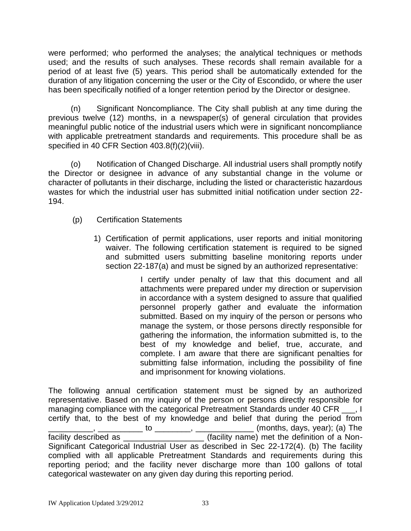were performed; who performed the analyses; the analytical techniques or methods used; and the results of such analyses. These records shall remain available for a period of at least five (5) years. This period shall be automatically extended for the duration of any litigation concerning the user or the City of Escondido, or where the user has been specifically notified of a longer retention period by the Director or designee.

 (n) Significant Noncompliance. The City shall publish at any time during the previous twelve (12) months, in a newspaper(s) of general circulation that provides meaningful public notice of the industrial users which were in significant noncompliance with applicable pretreatment standards and requirements. This procedure shall be as specified in 40 CFR Section 403.8(f)(2)(viii).

 (o) Notification of Changed Discharge. All industrial users shall promptly notify the Director or designee in advance of any substantial change in the volume or character of pollutants in their discharge, including the listed or characteristic hazardous wastes for which the industrial user has submitted initial notification under section 22- 194.

- (p) Certification Statements
	- 1) Certification of permit applications, user reports and initial monitoring waiver. The following certification statement is required to be signed and submitted users submitting baseline monitoring reports under section 22-187(a) and must be signed by an authorized representative:

 I certify under penalty of law that this document and all attachments were prepared under my direction or supervision in accordance with a system designed to assure that qualified personnel properly gather and evaluate the information submitted. Based on my inquiry of the person or persons who manage the system, or those persons directly responsible for gathering the information, the information submitted is, to the best of my knowledge and belief, true, accurate, and complete. I am aware that there are significant penalties for submitting false information, including the possibility of fine and imprisonment for knowing violations.

The following annual certification statement must be signed by an authorized representative. Based on my inquiry of the person or persons directly responsible for managing compliance with the categorical Pretreatment Standards under 40 CFR \_\_\_, I certify that, to the best of my knowledge and belief that during the period from \_\_\_\_\_\_\_\_\_\_, \_\_\_\_\_\_\_\_\_\_ to \_\_\_\_\_\_\_\_, \_\_\_\_\_\_\_\_\_\_\_\_\_ (months, days, year); (a) The facility described as \_\_\_\_\_\_\_\_\_\_\_\_\_\_\_\_\_\_\_\_\_ (facility name) met the definition of a Non-Significant Categorical Industrial User as described in Sec 22-172(4). (b) The facility complied with all applicable Pretreatment Standards and requirements during this reporting period; and the facility never discharge more than 100 gallons of total categorical wastewater on any given day during this reporting period.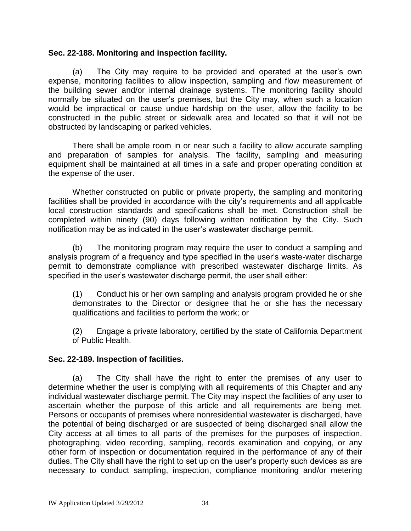# **Sec. 22-188. [Monitoring and inspection facility.](http://www.qcode.us/codes/escondido/view.php?topic=22-8-22_188&frames=on)**

(a) The City may require to be provided and operated at the user's own expense, monitoring facilities to allow inspection, sampling and flow measurement of the building sewer and/or internal drainage systems. The monitoring facility should normally be situated on the user's premises, but the City may, when such a location would be impractical or cause undue hardship on the user, allow the facility to be constructed in the public street or sidewalk area and located so that it will not be obstructed by landscaping or parked vehicles.

There shall be ample room in or near such a facility to allow accurate sampling and preparation of samples for analysis. The facility, sampling and measuring equipment shall be maintained at all times in a safe and proper operating condition at the expense of the user.

Whether constructed on public or private property, the sampling and monitoring facilities shall be provided in accordance with the city's requirements and all applicable local construction standards and specifications shall be met. Construction shall be completed within ninety (90) days following written notification by the City. Such notification may be as indicated in the user's wastewater discharge permit.

(b) The monitoring program may require the user to conduct a sampling and analysis program of a frequency and type specified in the user's waste-water discharge permit to demonstrate compliance with prescribed wastewater discharge limits. As specified in the user's wastewater discharge permit, the user shall either:

(1) Conduct his or her own sampling and analysis program provided he or she demonstrates to the Director or designee that he or she has the necessary qualifications and facilities to perform the work; or

(2) Engage a private laboratory, certified by the state of California Department of Public Health.

# **Sec. 22-189. [Inspection of facilities.](http://www.qcode.us/codes/escondido/view.php?topic=22-8-22_189&frames=on)**

(a) The City shall have the right to enter the premises of any user to determine whether the user is complying with all requirements of this Chapter and any individual wastewater discharge permit. The City may inspect the facilities of any user to ascertain whether the purpose of this article and all requirements are being met. Persons or occupants of premises where nonresidential wastewater is discharged, have the potential of being discharged or are suspected of being discharged shall allow the City access at all times to all parts of the premises for the purposes of inspection, photographing, video recording, sampling, records examination and copying, or any other form of inspection or documentation required in the performance of any of their duties. The City shall have the right to set up on the user's property such devices as are necessary to conduct sampling, inspection, compliance monitoring and/or metering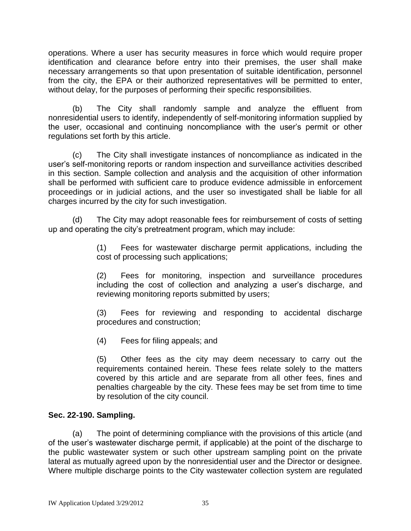operations. Where a user has security measures in force which would require proper identification and clearance before entry into their premises, the user shall make necessary arrangements so that upon presentation of suitable identification, personnel from the city, the EPA or their authorized representatives will be permitted to enter, without delay, for the purposes of performing their specific responsibilities.

(b) The City shall randomly sample and analyze the effluent from nonresidential users to identify, independently of self-monitoring information supplied by the user, occasional and continuing noncompliance with the user's permit or other regulations set forth by this article.

(c) The City shall investigate instances of noncompliance as indicated in the user's self-monitoring reports or random inspection and surveillance activities described in this section. Sample collection and analysis and the acquisition of other information shall be performed with sufficient care to produce evidence admissible in enforcement proceedings or in judicial actions, and the user so investigated shall be liable for all charges incurred by the city for such investigation.

(d) The City may adopt reasonable fees for reimbursement of costs of setting up and operating the city's pretreatment program, which may include:

> (1) Fees for wastewater discharge permit applications, including the cost of processing such applications;

> (2) Fees for monitoring, inspection and surveillance procedures including the cost of collection and analyzing a user's discharge, and reviewing monitoring reports submitted by users;

> (3) Fees for reviewing and responding to accidental discharge procedures and construction;

(4) Fees for filing appeals; and

(5) Other fees as the city may deem necessary to carry out the requirements contained herein. These fees relate solely to the matters covered by this article and are separate from all other fees, fines and penalties chargeable by the city. These fees may be set from time to time by resolution of the city council.

# **[Sec. 22-190.](http://www.qcode.us/codes/escondido/view.php?topic=22-8-22_190&frames=on) Sampling.**

(a) The point of determining compliance with the provisions of this article (and of the user's wastewater discharge permit, if applicable) at the point of the discharge to the public wastewater system or such other upstream sampling point on the private lateral as mutually agreed upon by the nonresidential user and the Director or designee. Where multiple discharge points to the City wastewater collection system are regulated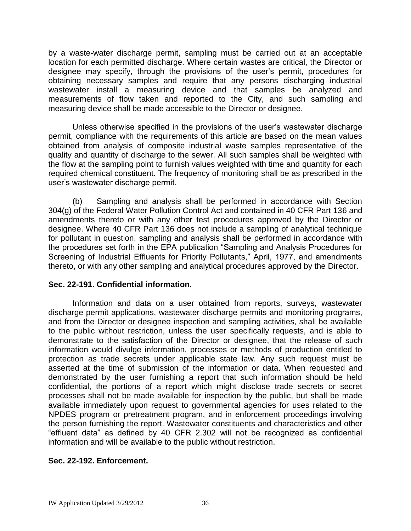by a waste-water discharge permit, sampling must be carried out at an acceptable location for each permitted discharge. Where certain wastes are critical, the Director or designee may specify, through the provisions of the user's permit, procedures for obtaining necessary samples and require that any persons discharging industrial wastewater install a measuring device and that samples be analyzed and measurements of flow taken and reported to the City, and such sampling and measuring device shall be made accessible to the Director or designee.

Unless otherwise specified in the provisions of the user's wastewater discharge permit, compliance with the requirements of this article are based on the mean values obtained from analysis of composite industrial waste samples representative of the quality and quantity of discharge to the sewer. All such samples shall be weighted with the flow at the sampling point to furnish values weighted with time and quantity for each required chemical constituent. The frequency of monitoring shall be as prescribed in the user's wastewater discharge permit.

(b) Sampling and analysis shall be performed in accordance with Section 304(g) of the Federal Water Pollution Control Act and contained in 40 CFR Part 136 and amendments thereto or with any other test procedures approved by the Director or designee. Where 40 CFR Part 136 does not include a sampling of analytical technique for pollutant in question, sampling and analysis shall be performed in accordance with the procedures set forth in the EPA publication "Sampling and Analysis Procedures for Screening of Industrial Effluents for Priority Pollutants," April, 1977, and amendments thereto, or with any other sampling and analytical procedures approved by the Director.

# **Sec. 22-191. [Confidential information.](http://www.qcode.us/codes/escondido/view.php?topic=22-8-22_191&frames=on)**

Information and data on a user obtained from reports, surveys, wastewater discharge permit applications, wastewater discharge permits and monitoring programs, and from the Director or designee inspection and sampling activities, shall be available to the public without restriction, unless the user specifically requests, and is able to demonstrate to the satisfaction of the Director or designee, that the release of such information would divulge information, processes or methods of production entitled to protection as trade secrets under applicable state law. Any such request must be asserted at the time of submission of the information or data. When requested and demonstrated by the user furnishing a report that such information should be held confidential, the portions of a report which might disclose trade secrets or secret processes shall not be made available for inspection by the public, but shall be made available immediately upon request to governmental agencies for uses related to the NPDES program or pretreatment program, and in enforcement proceedings involving the person furnishing the report. Wastewater constituents and characteristics and other "effluent data" as defined by 40 CFR 2.302 will not be recognized as confidential information and will be available to the public without restriction.

# **Sec. 22-192. [Enforcement.](http://www.qcode.us/codes/escondido/view.php?topic=22-8-22_192&frames=on)**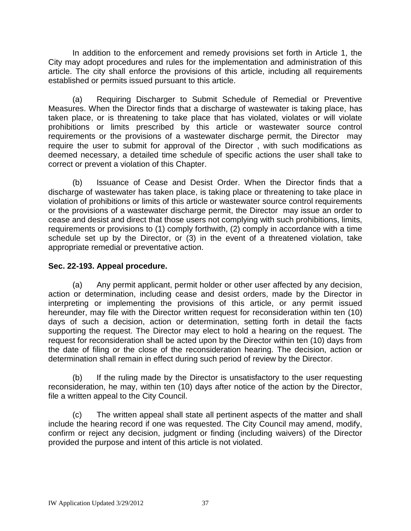In addition to the enforcement and remedy provisions set forth in Article 1, the City may adopt procedures and rules for the implementation and administration of this article. The city shall enforce the provisions of this article, including all requirements established or permits issued pursuant to this article.

(a) Requiring Discharger to Submit Schedule of Remedial or Preventive Measures. When the Director finds that a discharge of wastewater is taking place, has taken place, or is threatening to take place that has violated, violates or will violate prohibitions or limits prescribed by this article or wastewater source control requirements or the provisions of a wastewater discharge permit, the Director may require the user to submit for approval of the Director , with such modifications as deemed necessary, a detailed time schedule of specific actions the user shall take to correct or prevent a violation of this Chapter.

(b) Issuance of Cease and Desist Order. When the Director finds that a discharge of wastewater has taken place, is taking place or threatening to take place in violation of prohibitions or limits of this article or wastewater source control requirements or the provisions of a wastewater discharge permit, the Director may issue an order to cease and desist and direct that those users not complying with such prohibitions, limits, requirements or provisions to (1) comply forthwith, (2) comply in accordance with a time schedule set up by the Director, or (3) in the event of a threatened violation, take appropriate remedial or preventative action.

# **Sec. 22-193. [Appeal procedure.](http://www.qcode.us/codes/escondido/view.php?topic=22-8-22_193&frames=on)**

(a) Any permit applicant, permit holder or other user affected by any decision, action or determination, including cease and desist orders, made by the Director in interpreting or implementing the provisions of this article, or any permit issued hereunder, may file with the Director written request for reconsideration within ten (10) days of such a decision, action or determination, setting forth in detail the facts supporting the request. The Director may elect to hold a hearing on the request. The request for reconsideration shall be acted upon by the Director within ten (10) days from the date of filing or the close of the reconsideration hearing. The decision, action or determination shall remain in effect during such period of review by the Director.

(b) If the ruling made by the Director is unsatisfactory to the user requesting reconsideration, he may, within ten (10) days after notice of the action by the Director, file a written appeal to the City Council.

(c) The written appeal shall state all pertinent aspects of the matter and shall include the hearing record if one was requested. The City Council may amend, modify, confirm or reject any decision, judgment or finding (including waivers) of the Director provided the purpose and intent of this article is not violated.